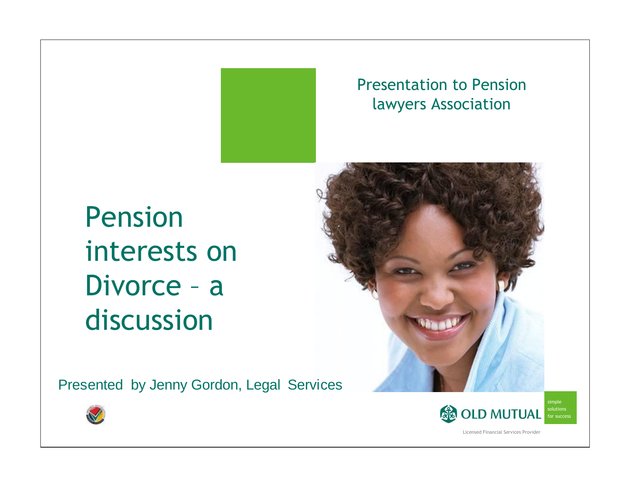

Pension interests on Divorce – a discussion

Presented by Jenny Gordon, Legal Services





simple solutions or succes

Licensed Financial Services Provider

**SCOLD MUTUAL**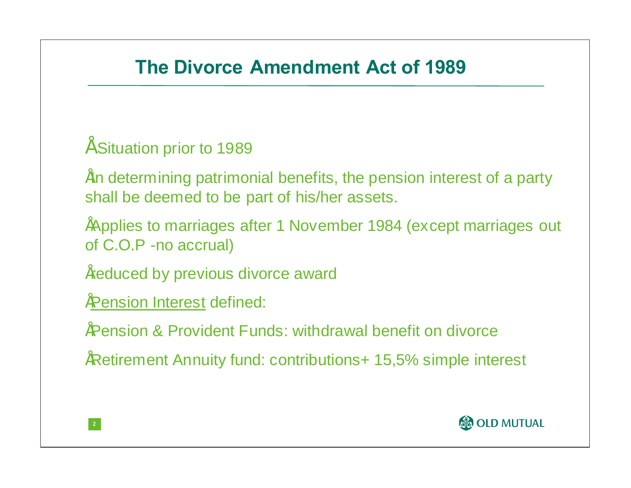## **The Divorce Amendment Act of 1989**

• Situation prior to 1989

Th determining patrimonial benefits, the pension interest of a party shall be deemed to be part of his/her assets.

•Applies to marriages after 1 November 1984 (except marriages out of C.O.P -no accrual)

*reduced by previous divorce award* 

**Pension Interest defined:** 

**2**

•Pension & Provident Funds: withdrawal benefit on divorce

•Retirement Annuity fund: contributions+ 15,5% simple interest

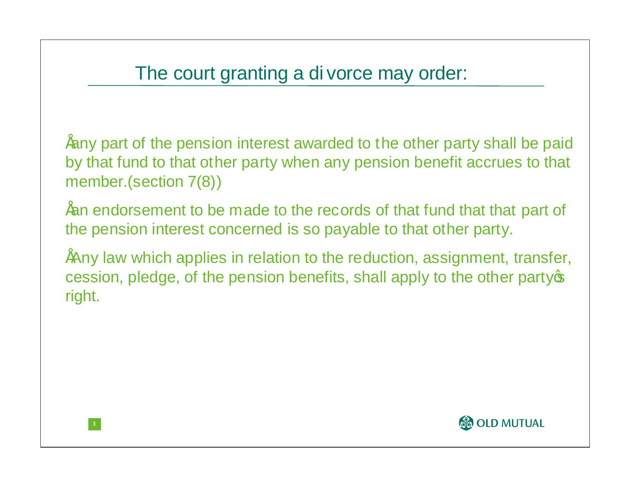## The court granting a di vorce may order:

"any part of the pension interest awarded to the other party shall be paid by that fund to that other party when any pension benefit accrues to that member.(section 7(8))

"an endorsement to be made to the records of that fund that that part of the pension interest concerned is so payable to that other party.

•Any law which applies in relation to the reduction, assignment, transfer, cession, pledge, of the pension benefits, shall apply to the other party of right.

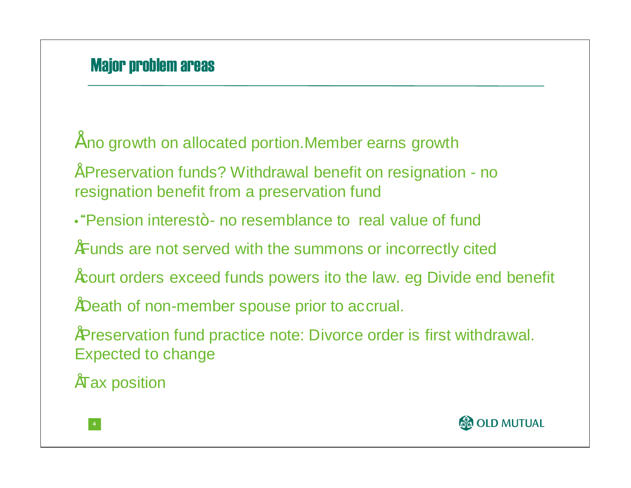### Major problem areas

- no growth on allocated portion.Member earns growth
- Preservation funds? Withdrawal benefit on resignation no resignation benefit from a preservation fund
- "Pension interest+- no resemblance to real value of fund
- •Funds are not served with the summons or incorrectly cited
- "court orders exceed funds powers ito the law. eg Divide end benefit
- •Death of non-member spouse prior to accrual.
- •Preservation fund practice note: Divorce order is first withdrawal. Expected to change
- •Tax position



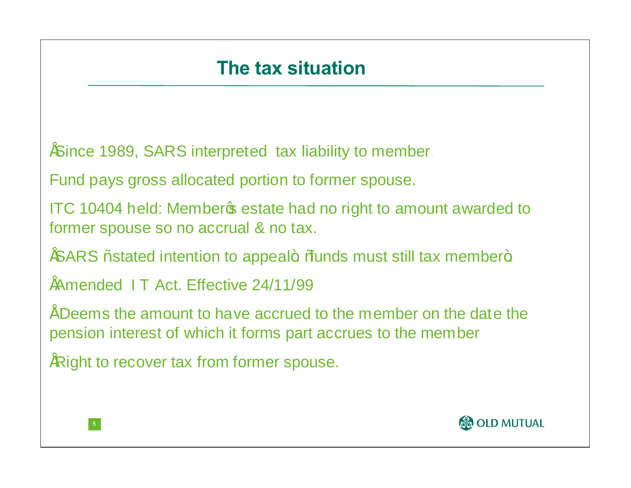### **The tax situation**

•Since 1989, SARS interpreted tax liability to member.

Fund pays gross allocated portion to former spouse.

ITC 10404 held: Member & estate had no right to amount awarded to former spouse so no accrual & no tax.

"SARS % stated intention to appeal+. % tunds must still tax member+.

"Amended I T Act. Effective 24/11/99

• Deems the amount to have accrued to the member on the date the pension interest of which it forms part accrues to the member

"Right to recover tax from former spouse.

**5**

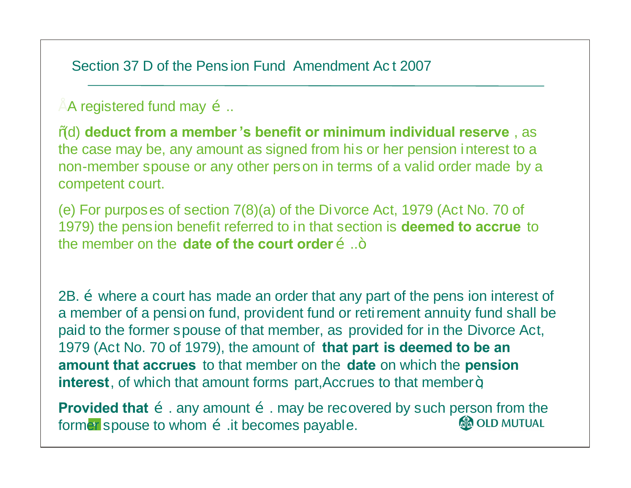Section 37 D of the Pens ion Fund Amendment Ac t 2007

A registered fund may  $\tilde{o}$  ...

"(d) **deduct from a member 's benefit or minimum individual reserve** , as the case may be, any amount as signed from his or her pension interest to a non-member spouse or any other pers on in terms of a valid order made by a competent court.

(e) For purposes of section 7(8)(a) of the Di vorce Act, 1979 (Act No. 70 of 1979) the pension benefit referred to in that section is **deemed to accrue** to the member on the **date of the court order**  $\ddot{\text{o}}$ ...+

2B.  $\ddot{\rm o}$  where a court has made an order that any part of the pens ion interest of a member of a pensi on fund, provident fund or retirement annuity fund shall be paid to the former spouse of that member, as provided for in the Divorce Act, 1979 (Act No. 70 of 1979), the amount of **that part is deemed to be an amount that accrues** to that member on the **date** on which the **pension interest**, of which that amount forms part, Accrues to that member +;

**Provided that**  $\tilde{o}$  . any amount  $\tilde{o}$  . may be recovered by such person from the **SE OLD MUTUAL** former spouse to whom  $\tilde{o}$  .it becomes payable.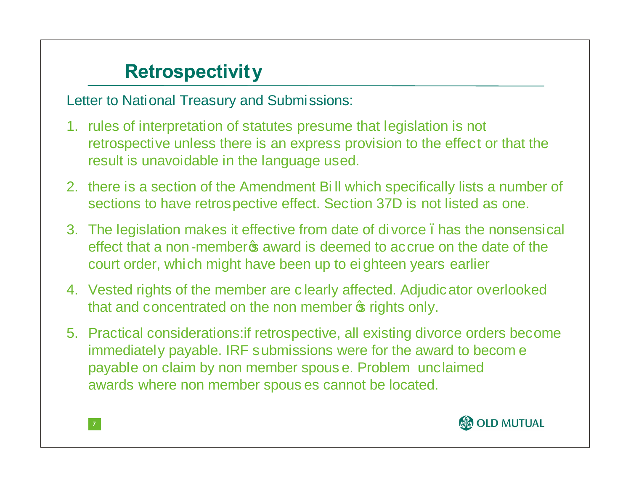# **Retrospectivity**

Letter to National Treasury and Submissions:

- 1. rules of interpretation of statutes presume that legislation is not retrospective unless there is an express provision to the effect or that the result is unavoidable in the language used.
- 2. there is a section of the Amendment Bi ll which specifically lists a number of sections to have retrospective effect. Section 37D is not listed as one.
- 3. The legislation makes it effective from date of divorce . has the nonsensical effect that a non-member  $\infty$  award is deemed to accrue on the date of the court order, which might have been up to ei ghteen years earlier
- 4. Vested rights of the member are c learly affected. Adjudicator overlooked that and concentrated on the non member  $\sigma$  rights only.
- 5. Practical considerations:if retrospective, all existing divorce orders become immediately payable. IRF submissions were for the award to becom e payable on claim by non member spous e. Problem unclaimed awards where non member spous es cannot be located.



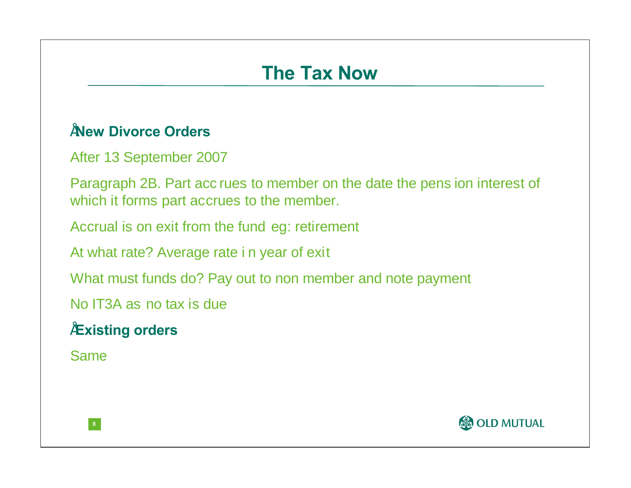## **The Tax Now**

#### •**New Divorce Orders**

After 13 September 2007

Paragraph 2B. Part acc rues to member on the date the pens ion interest of which it forms part accrues to the member.

Accrual is on exit from the fund eg: retirement

At what rate? Average rate i n year of exit

What must funds do? Pay out to non member and note payment

No IT3A as no tax is due

### •**Existing orders**

Same

**8**

**SE OLD MUTUAL**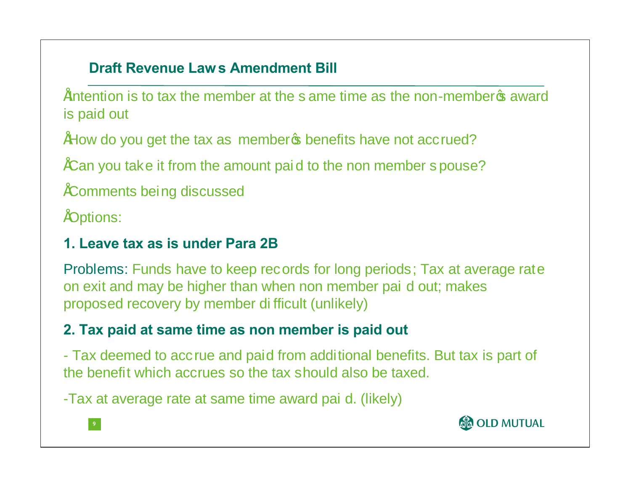### **Draft Revenue Law s Amendment Bill**

Thention is to tax the member at the s ame time as the non-member of award is paid out

"How do you get the tax as member to be nefits have not accrued?

•Can you take it from the amount pai d to the non member s pouse?

•Comments being discussed

•Options:

#### **1. Leave tax as is under Para 2B**

Problems: Funds have to keep records for long periods; Tax at average rate on exit and may be higher than when non member pai d out; makes proposed recovery by member di fficult (unlikely)

#### **2. Tax paid at same time as non member is paid out**

- Tax deemed to accrue and paid from additional benefits. But tax is part of the benefit which accrues so the tax should also be taxed.

-Tax at average rate at same time award pai d. (likely)



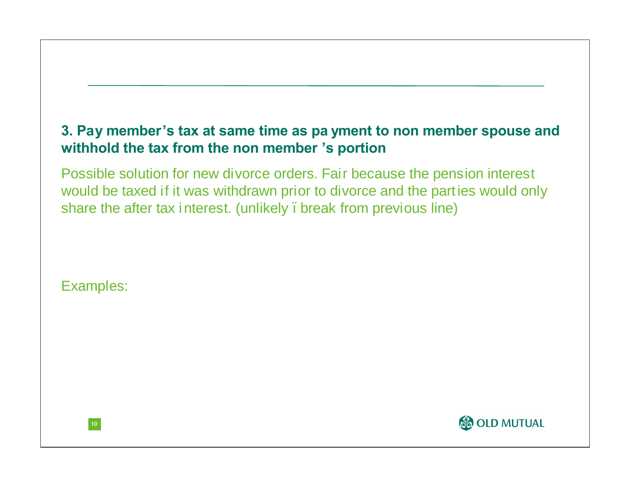### **3. Pay member's tax at same time as pa yment to non member spouse and withhold the tax from the non member 's portion**

Possible solution for new divorce orders. Fair because the pension interest would be taxed if it was withdrawn prior to divorce and the parties would only share the after tax interest. (unlikely . break from previous line)

Examples:

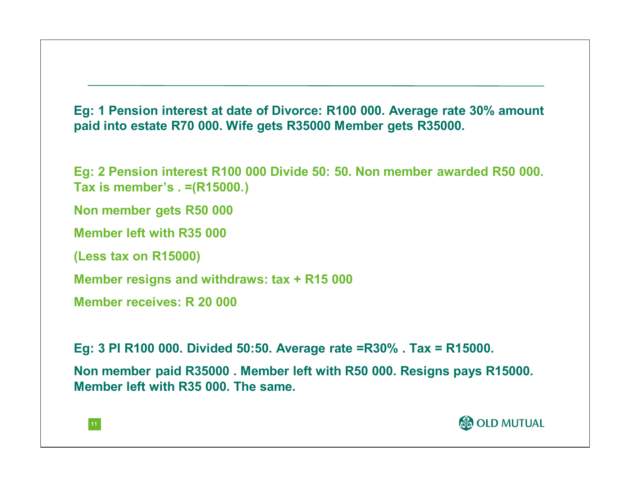**Eg: 1 Pension interest at date of Divorce: R100 000. Average rate 30% amount paid into estate R70 000. Wife gets R35000 Member gets R35000.** 

**Eg: 2 Pension interest R100 000 Divide 50: 50. Non member awarded R50 000. Tax is member's . =(R15000.) Non member gets R50 000 Member left with R35 000 (Less tax on R15000) Member resigns and withdraws: tax + R15 000 Member receives: R 20 000**

**Eg: 3 PI R100 000. Divided 50:50. Average rate =R30% . Tax = R15000.**

**Non member paid R35000 . Member left with R50 000. Resigns pays R15000. Member left with R35 000. The same.**



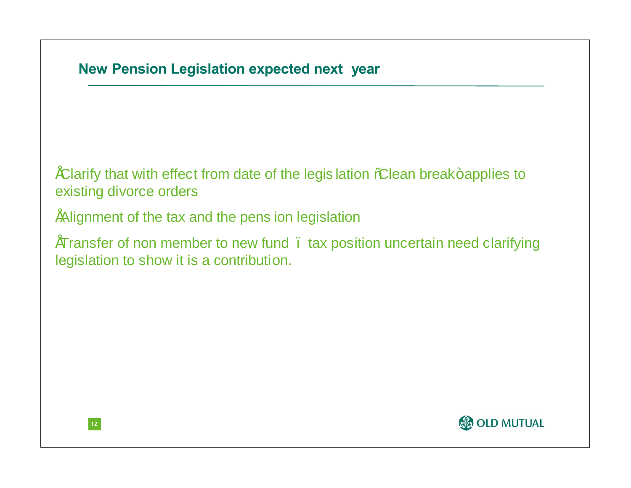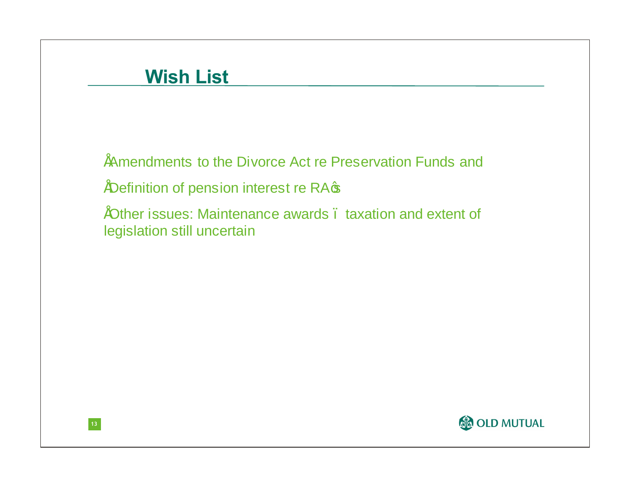### **Wish List**

•Amendments to the Divorce Act re Preservation Funds and

*"Definition of pension interest re RA* 

•Other issues: Maintenance awards – taxation and extent of legislation still uncertain